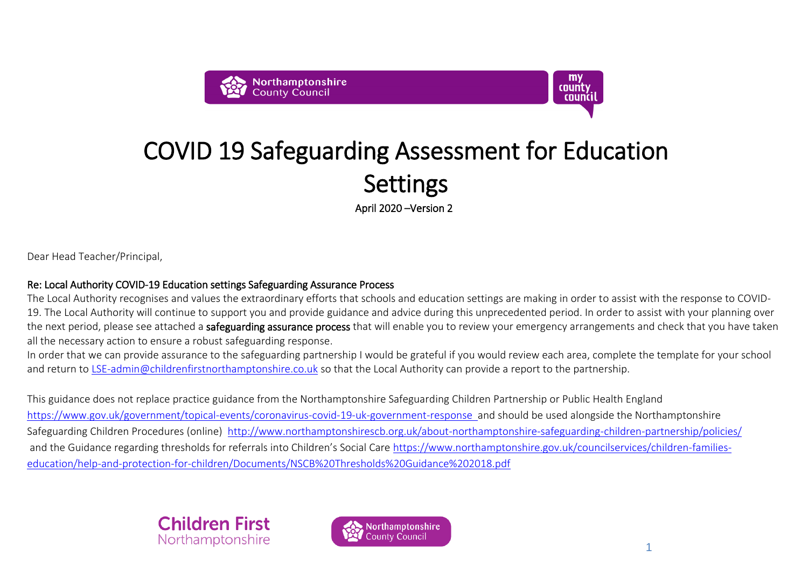



## Settings COVID 19 Safeguarding Assessment for Education

April 2020 –Version 2

Dear Head Teacher/Principal,

## Re: Local Authority COVID-19 Education settings Safeguarding Assurance Process

The Local Authority recognises and values the extraordinary efforts that schools and education settings are making in order to assist with the response to COVID-19. The Local Authority will continue to support you and provide guidance and advice during this unprecedented period. In order to assist with your planning over<br>the next period, please see attached a **safeguarding assuran** the next period, please see attached a safeguarding assurance process that will enable you to review your emergency arrangements and check that you have taken all the necessary action to ensure a robust safeguarding response.

In order that we can provide assurance to the safeguarding partnership I would be grateful if you would review each area, complete the template for your school and return to [LSE-admin@childrenfirstnorthamptonshire.co.uk](mailto:LSE-admin@childrenfirstnorthamptonshire.co.uk) so that the Local Authority can provide a report to the partnership.

This guidance does not replace practice guidance from the Northamptonshire Safeguarding Children Partnership or Public Health England <https://www.gov.uk/government/topical-events/coronavirus-covid-19-uk-government-response>and should be used alongside the Northamptonshire Safeguarding Children Procedures (online) <http://www.northamptonshirescb.org.uk/about-northamptonshire-safeguarding-children-partnership/policies/> and the Guidance regarding thresholds for referrals into Children's Social Care [https://www.northamptonshire.gov.uk/councilservices/children-families](https://www.northamptonshire.gov.uk/councilservices/children-families-education/help-and-protection-for-children/Documents/NSCB%20Thresholds%20Guidance%202018.pdf)[education/help-and-protection-for-children/Documents/NSCB%20Thresholds%20Guidance%202018.pdf](https://www.northamptonshire.gov.uk/councilservices/children-families-education/help-and-protection-for-children/Documents/NSCB%20Thresholds%20Guidance%202018.pdf)



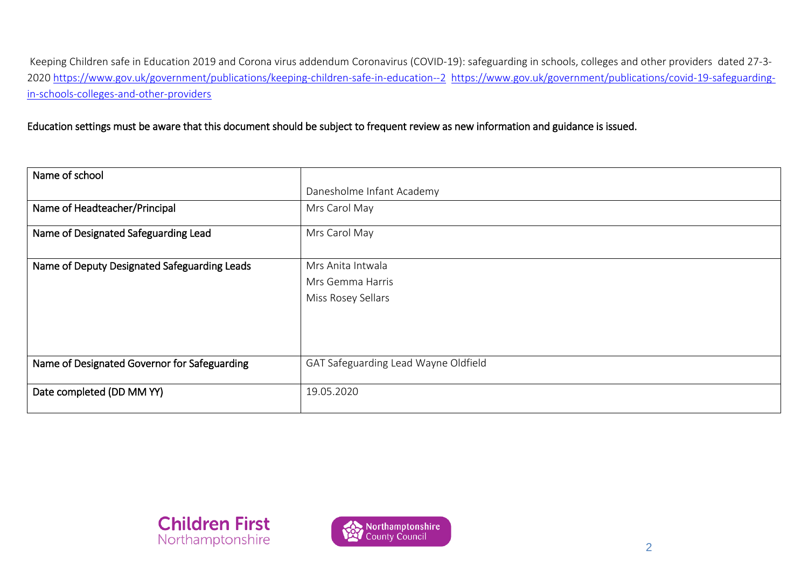Keeping Children safe in Education 2019 and Corona virus addendum Coronavirus (COVID-19): safeguarding in schools, colleges and other providers dated 27-3- 2020<https://www.gov.uk/government/publications/keeping-children-safe-in-education--2>[https://www.gov.uk/government/publications/covid-19-safeguarding](https://www.gov.uk/government/publications/covid-19-safeguarding-in-schools-colleges-and-other-providers)[in-schools-colleges-and-other-providers](https://www.gov.uk/government/publications/covid-19-safeguarding-in-schools-colleges-and-other-providers)

Education settings must be aware that this document should be subject to frequent review as new information and guidance is issued.

| Name of school                               |                                      |
|----------------------------------------------|--------------------------------------|
|                                              | Danesholme Infant Academy            |
| Name of Headteacher/Principal                | Mrs Carol May                        |
| Name of Designated Safeguarding Lead         | Mrs Carol May                        |
| Name of Deputy Designated Safeguarding Leads | Mrs Anita Intwala                    |
|                                              | Mrs Gemma Harris                     |
|                                              | Miss Rosey Sellars                   |
|                                              |                                      |
|                                              |                                      |
|                                              |                                      |
| Name of Designated Governor for Safeguarding | GAT Safeguarding Lead Wayne Oldfield |
| Date completed (DD MM YY)                    | 19.05.2020                           |



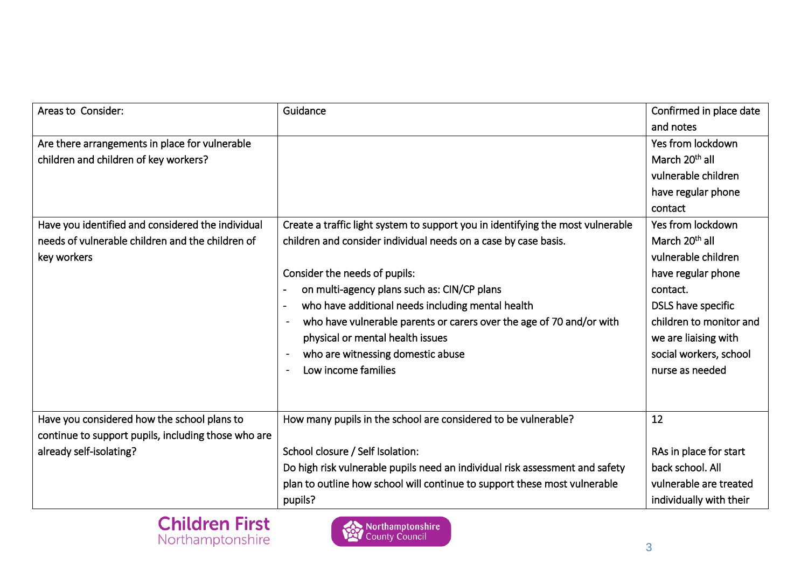| Areas to Consider:                                  | Guidance                                                                        | Confirmed in place date    |
|-----------------------------------------------------|---------------------------------------------------------------------------------|----------------------------|
|                                                     |                                                                                 | and notes                  |
| Are there arrangements in place for vulnerable      |                                                                                 | Yes from lockdown          |
| children and children of key workers?               |                                                                                 | March 20 <sup>th</sup> all |
|                                                     |                                                                                 | vulnerable children        |
|                                                     |                                                                                 | have regular phone         |
|                                                     |                                                                                 | contact                    |
| Have you identified and considered the individual   | Create a traffic light system to support you in identifying the most vulnerable | Yes from lockdown          |
| needs of vulnerable children and the children of    | children and consider individual needs on a case by case basis.                 | March 20 <sup>th</sup> all |
| key workers                                         |                                                                                 | vulnerable children        |
|                                                     | Consider the needs of pupils:                                                   | have regular phone         |
|                                                     | on multi-agency plans such as: CIN/CP plans                                     | contact.                   |
|                                                     | who have additional needs including mental health                               | DSLS have specific         |
|                                                     | who have vulnerable parents or carers over the age of 70 and/or with            | children to monitor and    |
|                                                     | physical or mental health issues                                                | we are liaising with       |
|                                                     | who are witnessing domestic abuse<br>$\blacksquare$                             | social workers, school     |
|                                                     | Low income families                                                             | nurse as needed            |
|                                                     |                                                                                 |                            |
|                                                     |                                                                                 |                            |
| Have you considered how the school plans to         | How many pupils in the school are considered to be vulnerable?                  | 12                         |
| continue to support pupils, including those who are |                                                                                 |                            |
| already self-isolating?                             | School closure / Self Isolation:                                                | RAs in place for start     |
|                                                     | Do high risk vulnerable pupils need an individual risk assessment and safety    | back school. All           |
|                                                     | plan to outline how school will continue to support these most vulnerable       | vulnerable are treated     |
|                                                     | pupils?                                                                         | individually with their    |



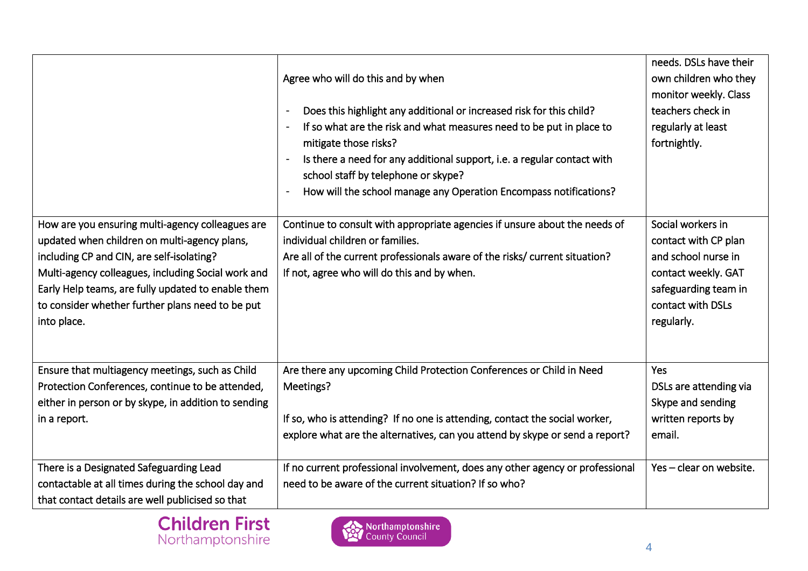|                                                                                                                                                                                                                                                                                                                              | Agree who will do this and by when<br>Does this highlight any additional or increased risk for this child?<br>If so what are the risk and what measures need to be put in place to<br>mitigate those risks?<br>Is there a need for any additional support, i.e. a regular contact with<br>school staff by telephone or skype?<br>How will the school manage any Operation Encompass notifications? | needs. DSLs have their<br>own children who they<br>monitor weekly. Class<br>teachers check in<br>regularly at least<br>fortnightly.                |
|------------------------------------------------------------------------------------------------------------------------------------------------------------------------------------------------------------------------------------------------------------------------------------------------------------------------------|----------------------------------------------------------------------------------------------------------------------------------------------------------------------------------------------------------------------------------------------------------------------------------------------------------------------------------------------------------------------------------------------------|----------------------------------------------------------------------------------------------------------------------------------------------------|
| How are you ensuring multi-agency colleagues are<br>updated when children on multi-agency plans,<br>including CP and CIN, are self-isolating?<br>Multi-agency colleagues, including Social work and<br>Early Help teams, are fully updated to enable them<br>to consider whether further plans need to be put<br>into place. | Continue to consult with appropriate agencies if unsure about the needs of<br>individual children or families.<br>Are all of the current professionals aware of the risks/ current situation?<br>If not, agree who will do this and by when.                                                                                                                                                       | Social workers in<br>contact with CP plan<br>and school nurse in<br>contact weekly. GAT<br>safeguarding team in<br>contact with DSLs<br>regularly. |
| Ensure that multiagency meetings, such as Child<br>Protection Conferences, continue to be attended,                                                                                                                                                                                                                          | Are there any upcoming Child Protection Conferences or Child in Need<br>Meetings?                                                                                                                                                                                                                                                                                                                  | Yes<br>DSLs are attending via                                                                                                                      |
| either in person or by skype, in addition to sending                                                                                                                                                                                                                                                                         |                                                                                                                                                                                                                                                                                                                                                                                                    | Skype and sending                                                                                                                                  |
| in a report.                                                                                                                                                                                                                                                                                                                 | If so, who is attending? If no one is attending, contact the social worker,                                                                                                                                                                                                                                                                                                                        | written reports by                                                                                                                                 |
|                                                                                                                                                                                                                                                                                                                              | explore what are the alternatives, can you attend by skype or send a report?                                                                                                                                                                                                                                                                                                                       | email.                                                                                                                                             |
| There is a Designated Safeguarding Lead                                                                                                                                                                                                                                                                                      | If no current professional involvement, does any other agency or professional                                                                                                                                                                                                                                                                                                                      | Yes-clear on website.                                                                                                                              |
| contactable at all times during the school day and                                                                                                                                                                                                                                                                           | need to be aware of the current situation? If so who?                                                                                                                                                                                                                                                                                                                                              |                                                                                                                                                    |
| that contact details are well publicised so that                                                                                                                                                                                                                                                                             |                                                                                                                                                                                                                                                                                                                                                                                                    |                                                                                                                                                    |



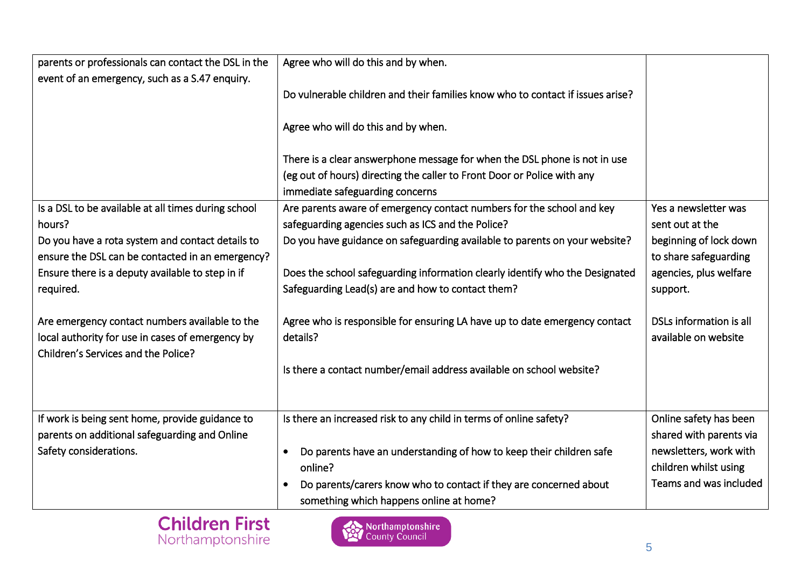| parents or professionals can contact the DSL in the                                                                                       | Agree who will do this and by when.                                                                        |                                                 |
|-------------------------------------------------------------------------------------------------------------------------------------------|------------------------------------------------------------------------------------------------------------|-------------------------------------------------|
| event of an emergency, such as a S.47 enquiry.                                                                                            | Do vulnerable children and their families know who to contact if issues arise?                             |                                                 |
|                                                                                                                                           | Agree who will do this and by when.                                                                        |                                                 |
|                                                                                                                                           | There is a clear answerphone message for when the DSL phone is not in use                                  |                                                 |
|                                                                                                                                           | (eg out of hours) directing the caller to Front Door or Police with any<br>immediate safeguarding concerns |                                                 |
| Is a DSL to be available at all times during school                                                                                       | Are parents aware of emergency contact numbers for the school and key                                      | Yes a newsletter was                            |
| hours?                                                                                                                                    | safeguarding agencies such as ICS and the Police?                                                          | sent out at the                                 |
| Do you have a rota system and contact details to                                                                                          | Do you have guidance on safeguarding available to parents on your website?                                 | beginning of lock down                          |
| ensure the DSL can be contacted in an emergency?                                                                                          |                                                                                                            | to share safeguarding                           |
| Ensure there is a deputy available to step in if                                                                                          | Does the school safeguarding information clearly identify who the Designated                               | agencies, plus welfare                          |
| required.                                                                                                                                 | Safeguarding Lead(s) are and how to contact them?                                                          | support.                                        |
| Are emergency contact numbers available to the<br>local authority for use in cases of emergency by<br>Children's Services and the Police? | Agree who is responsible for ensuring LA have up to date emergency contact<br>details?                     | DSLs information is all<br>available on website |
|                                                                                                                                           | Is there a contact number/email address available on school website?                                       |                                                 |
|                                                                                                                                           |                                                                                                            |                                                 |
| If work is being sent home, provide guidance to                                                                                           | Is there an increased risk to any child in terms of online safety?                                         | Online safety has been                          |
| parents on additional safeguarding and Online                                                                                             |                                                                                                            | shared with parents via                         |
| Safety considerations.                                                                                                                    | Do parents have an understanding of how to keep their children safe<br>$\bullet$                           | newsletters, work with                          |
|                                                                                                                                           | online?                                                                                                    | children whilst using                           |
|                                                                                                                                           | Do parents/carers know who to contact if they are concerned about<br>$\bullet$                             | Teams and was included                          |
|                                                                                                                                           | something which happens online at home?                                                                    |                                                 |

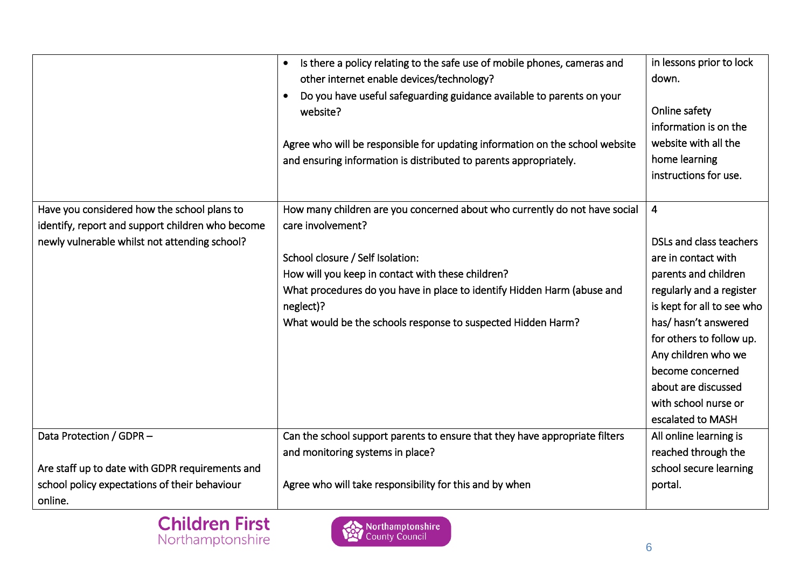|                                                                                                                                                  | Is there a policy relating to the safe use of mobile phones, cameras and<br>$\bullet$<br>other internet enable devices/technology?<br>Do you have useful safeguarding guidance available to parents on your<br>website?<br>Agree who will be responsible for updating information on the school website<br>and ensuring information is distributed to parents appropriately. | in lessons prior to lock<br>down.<br>Online safety<br>information is on the<br>website with all the<br>home learning<br>instructions for use.                                                                                                                                                                        |
|--------------------------------------------------------------------------------------------------------------------------------------------------|------------------------------------------------------------------------------------------------------------------------------------------------------------------------------------------------------------------------------------------------------------------------------------------------------------------------------------------------------------------------------|----------------------------------------------------------------------------------------------------------------------------------------------------------------------------------------------------------------------------------------------------------------------------------------------------------------------|
| Have you considered how the school plans to<br>identify, report and support children who become<br>newly vulnerable whilst not attending school? | How many children are you concerned about who currently do not have social<br>care involvement?<br>School closure / Self Isolation:<br>How will you keep in contact with these children?<br>What procedures do you have in place to identify Hidden Harm (abuse and<br>neglect)?<br>What would be the schools response to suspected Hidden Harm?                             | $\overline{4}$<br>DSLs and class teachers<br>are in contact with<br>parents and children<br>regularly and a register<br>is kept for all to see who<br>has/hasn't answered<br>for others to follow up.<br>Any children who we<br>become concerned<br>about are discussed<br>with school nurse or<br>escalated to MASH |
| Data Protection / GDPR -<br>Are staff up to date with GDPR requirements and                                                                      | Can the school support parents to ensure that they have appropriate filters<br>and monitoring systems in place?                                                                                                                                                                                                                                                              | All online learning is<br>reached through the<br>school secure learning                                                                                                                                                                                                                                              |
| school policy expectations of their behaviour<br>online.                                                                                         | Agree who will take responsibility for this and by when                                                                                                                                                                                                                                                                                                                      | portal.                                                                                                                                                                                                                                                                                                              |



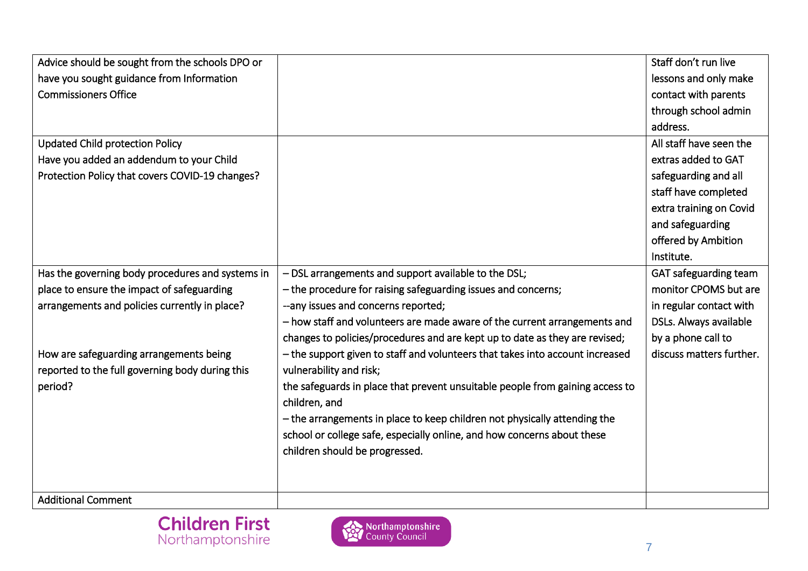| Advice should be sought from the schools DPO or  |                                                                               | Staff don't run live     |
|--------------------------------------------------|-------------------------------------------------------------------------------|--------------------------|
| have you sought guidance from Information        |                                                                               | lessons and only make    |
| <b>Commissioners Office</b>                      |                                                                               | contact with parents     |
|                                                  |                                                                               | through school admin     |
|                                                  |                                                                               | address.                 |
| <b>Updated Child protection Policy</b>           |                                                                               | All staff have seen the  |
| Have you added an addendum to your Child         |                                                                               | extras added to GAT      |
| Protection Policy that covers COVID-19 changes?  |                                                                               | safeguarding and all     |
|                                                  |                                                                               | staff have completed     |
|                                                  |                                                                               | extra training on Covid  |
|                                                  |                                                                               | and safeguarding         |
|                                                  |                                                                               | offered by Ambition      |
|                                                  |                                                                               | Institute.               |
| Has the governing body procedures and systems in | - DSL arrangements and support available to the DSL;                          | GAT safeguarding team    |
| place to ensure the impact of safeguarding       | - the procedure for raising safeguarding issues and concerns;                 | monitor CPOMS but are    |
| arrangements and policies currently in place?    | --any issues and concerns reported;                                           | in regular contact with  |
|                                                  | - how staff and volunteers are made aware of the current arrangements and     | DSLs. Always available   |
|                                                  | changes to policies/procedures and are kept up to date as they are revised;   | by a phone call to       |
| How are safeguarding arrangements being          | - the support given to staff and volunteers that takes into account increased | discuss matters further. |
| reported to the full governing body during this  | vulnerability and risk;                                                       |                          |
| period?                                          | the safeguards in place that prevent unsuitable people from gaining access to |                          |
|                                                  | children, and                                                                 |                          |
|                                                  | - the arrangements in place to keep children not physically attending the     |                          |
|                                                  | school or college safe, especially online, and how concerns about these       |                          |
|                                                  | children should be progressed.                                                |                          |
|                                                  |                                                                               |                          |
|                                                  |                                                                               |                          |
| <b>Additional Comment</b>                        |                                                                               |                          |